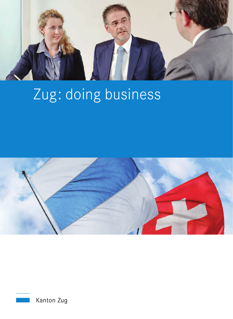

# Zug : doing business



Kanton Zug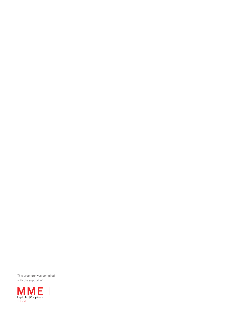This brochure was compiled with the support of

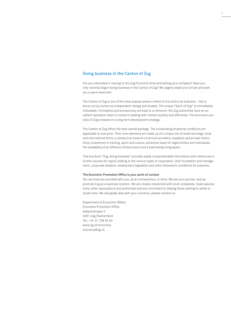# Doing business in the Canton of Zug

Are you interested in moving to the Zug Economic Area and setting up a company? Have you only recently begun doing business in the Canton of Zug? We eagerly await your arrival and wish you a warm welcome!

1

The Canton of Zug is one of the most popular areas in which to live and to do business – this is borne out by numerous independent ratings and studies. The unique "Spirit of Zug" is immediately noticeable. Formalities and bureaucracy are kept to a minimum: the Zug authorities have an excellent reputation when it comes to dealing with matters quickly and efficiently. The economic success of Zug is based on a long-term development strategy.

The Canton of Zug offers the best overall package. The outstanding locational conditions are applicable to everyone. Their core elements are made up of a unique mix of small and large, local and international firms; a closely knit network of service providers, suppliers and private institutions; investment in training, sport and culture; attractive taxes for legal entities and individuals; the availability of an efficient infrastructure and a fascinating living space.

This brochure "Zug: doing business" provides easily comprehensible information with references to further sources for topics relating to the various types of corporation, their foundation and management, corporate taxation, employment legislation and other framework conditions for business.

### The Economic Promotion Office is your point of contact

Our services are provided with you, as an entrepreneur, in mind. We are your partner, and we promote Zug as a business location. We are closely networked with local companies, trade associations, other associations and authorities and are committed to helping those wishing to settle or locate here. We will gladly deal with your concerns, please contact us:

Department of Economic Affairs Economic Promotion Office Aabachstrasse 5 6301 Zug/Switzerland Tel.: +41 41 728 55 04 www.zg.ch/economy economy@zg.ch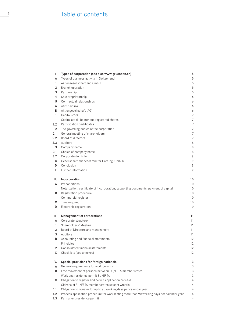# $\frac{2}{2}$  Table of contents

| ı.                      | Types of corporation (see also www.gruenden.ch)                                            | 5      |
|-------------------------|--------------------------------------------------------------------------------------------|--------|
| А                       | Types of business activity in Switzerland                                                  | 5      |
| $\mathbf{1}$            | Aktiengesellschaft and GmbH                                                                | 5      |
| 2                       | Branch operation                                                                           | 5      |
| 3                       | Partnership                                                                                | 5      |
| 4                       | Sole proprietorship                                                                        | 6      |
| 5                       | Contractual relationships                                                                  | 6      |
| 6                       | Antitrust law                                                                              | 6      |
| В                       | Aktiengesellschaft (AG)                                                                    | 6      |
| $\mathbf{1}$            | Capital stock                                                                              | 7      |
| 1.1                     | Capital stock, bearer and registered shares                                                | 7      |
| 1.2                     | Participation certificates                                                                 | 7      |
| $\overline{2}$          | The governing bodies of the corporation                                                    | 7      |
| 2.1                     | General meeting of shareholders                                                            | 7      |
| 2.2                     | Board of directors                                                                         | 7      |
| 2.3                     | Auditors                                                                                   | 8      |
| 3                       | Company name                                                                               | 8      |
| 3.1<br>3.2              | Choice of company name<br>Corporate domicile                                               | 8<br>9 |
| C                       |                                                                                            | 9      |
| D                       | Gesellschaft mit beschränkter Haftung (GmbH)<br>Conclusion                                 | 9      |
| E.                      | Further information                                                                        | 9      |
|                         |                                                                                            |        |
| ΙΙ.                     | Incorporation                                                                              | 10     |
| A                       | Preconditions                                                                              | 10     |
| 1                       | Notarization, certificate of incorporation, supporting documents, payment of capital       | 10     |
| В                       | Registration procedure                                                                     | 10     |
| $\mathbf{1}$            | Commercial register                                                                        | 10     |
| C                       | Time required                                                                              | 10     |
| D                       | Electronic registration                                                                    | 10     |
| III.                    | Management of corporations                                                                 | 11     |
| А                       | Corporate structure                                                                        | 11     |
| $\mathbf{1}$            | Shareholders' Meeting                                                                      | 11     |
| 2                       | Board of Directors and management                                                          | 11     |
| 3                       | Auditors                                                                                   | 11     |
| B                       | Accounting and financial statements                                                        | 12     |
| $\mathbf{1}$            | Principles                                                                                 | 12     |
| $\overline{\mathbf{c}}$ | Consolidated financial statements                                                          | 12     |
| $\mathsf C$             | Checklists (see annexes)                                                                   | 12     |
| IV.                     | Special provisions for foreign nationals                                                   | 13     |
| Α                       | General requirements for work permits                                                      | 13     |
| В                       | Free movement of persons between EU/EFTA member states                                     | 13     |
| $\mathbf{1}$            | Work and residence permit EU/EFTA                                                          | 13     |
| $\mathsf C$             | Obligation to register and permit application process                                      | 14     |
| $\mathbf{1}$            | Citizens of EU/EFTA member states (except Croatia)                                         | 14     |
| 1.1                     | Obligation to register for up to 90 working days per calendar year                         | 14     |
| 1.2                     | Process application procedure for work lasting more than 90 working days per calendar year | 14     |
| 1.3                     | Permanent residence permit                                                                 | 14     |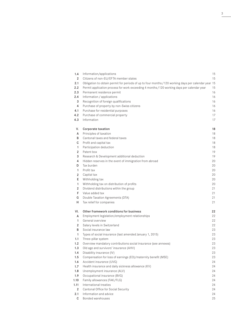| 1.4                    | Information/applications                                                                             | 15       |
|------------------------|------------------------------------------------------------------------------------------------------|----------|
| 2                      | Citizens of non-EU/EFTA member states                                                                | 15       |
| 2.1                    | Obligation to obtain permit for periods of up to four months / 120 working days per calendar year 15 |          |
| 2.2                    | Permit application process for work exceeding 4 months / 120 working days per calendar year          | 15       |
| 2.3                    | Permanent residence permit                                                                           | 16       |
| 2.4                    | Information / applications                                                                           | 16       |
| 3                      | Recognition of foreign qualifications                                                                | 16       |
| 4                      | Purchase of property by non-Swiss citizens                                                           | 16       |
| 4.1                    | Purchase for residential purposes                                                                    | 16       |
| 4.2                    | Purchase of commercial property                                                                      | 17       |
| 4.3                    | Information                                                                                          | 17       |
| V.                     | Corporate taxation                                                                                   | 18       |
| A                      | Principles of taxation                                                                               | 18       |
| B                      | Cantonal taxes and federal taxes                                                                     | 18       |
| С                      | Profit and capital tax                                                                               | 18       |
| 1                      | Participation deduction                                                                              | 18       |
| 2                      | Patent box                                                                                           | 19       |
| 3                      | Research & Development additional deduction                                                          | 19       |
| 4                      | Hidden reserves in the event of immigration from abroad                                              | 20       |
| D                      | Tax burden                                                                                           | 20       |
| 1                      | Profit tax                                                                                           | 20       |
| 2                      | Capital tax                                                                                          | 20       |
| E                      | Withholding tax                                                                                      | 20       |
| 1                      | Withholding tax on distribution of profits                                                           | 20       |
| $\overline{2}$         | Dividend distributions within the group                                                              | 21       |
| F                      | Value added tax                                                                                      | 21       |
| G                      | Double Taxation Agreements (DTA)                                                                     | 21       |
| H                      | Tax relief for companies                                                                             | 21       |
| VI.                    | Other framework conditions for business                                                              | 22       |
| А                      | Employment legislation/employment relationships                                                      | 22       |
| 1                      | General overview                                                                                     | 22       |
| $\overline{2}$         | Salary levels in Switzerland                                                                         | 22       |
| B                      | Social insurance law                                                                                 | 23       |
| 1                      | Types of social insurance (last amended January 1, 2015)                                             | 23       |
| 1.1                    | Three-pillar system                                                                                  | 23       |
| 1.2                    | Overview mandatory contributions social insurance (see annexes)                                      | 23       |
| 1.3                    | Old age and survivors' insurance (AHV)                                                               | 23       |
| 1.4                    | Disability insurance (IV)                                                                            | 23       |
| 1.5                    | Compensation for loss of earnings (EO)/maternity benefit (MSE)                                       | 23       |
| 1.6                    | Accident insurance (UVG)                                                                             | 24       |
| 1.7                    | Health insurance and daily sickness allowance (KV)                                                   | 24       |
| 1.8                    | Unemployment insurance (ALV)                                                                         | 24       |
| 1.9                    | Occupational insurance (BVG)                                                                         | 24       |
| 1.10                   | Family allowances (FAK/FLG)                                                                          | 24       |
| 1.11<br>$\overline{2}$ | International treaties                                                                               | 24<br>24 |
| 2.1                    | Cantonal Office for Social Security<br>Information and advice                                        | 24       |
| C                      | Bonded warehouses                                                                                    | 25       |
|                        |                                                                                                      |          |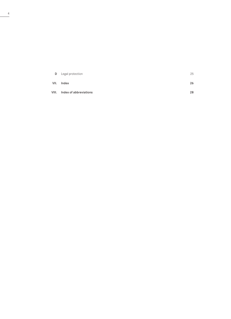| D     | Legal protection       | 25 |
|-------|------------------------|----|
| VII.  | Index                  | 26 |
| VIII. | Index of abbreviations | 28 |

 $\frac{4}{1}$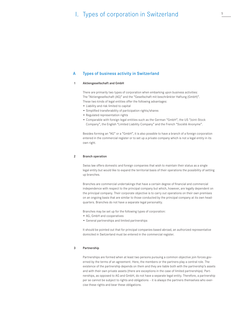# 1. Types of corporation in Switzerland  $\frac{5}{4}$

#### Types of business activity in Switzerland A

#### Aktiengesellschaft and GmbH 1

There are primarily two types of corporation when embarking upon business activities: The "Aktiengesellschaft (AG)" and the "Gesellschaft mit beschränkter Haftung (GmbH)". These two kinds of legal entities offer the following advantages:

- Liability and risk limited to capital
- Simplified transferability of participation rights/shares
- Regulated representation rights
- Comparable with foreign legal entities such as the German "GmbH", the US "Joint-Stock Company", the English "Limited Liability Company" and the French "Société Anonyme".

Besides forming an "AG" or a "GmbH", it is also possible to have a branch of a foreign corporation entered in the commercial register or to set up a private company which is not a legal entity in its own right.

#### Branch operation  $\mathfrak{p}$

Swiss law offers domestic and foreign companies that wish to maintain their status as a single legal entity but would like to expand the territorial basis of their operations the possibility of setting up branches.

Branches are commercial undertakings that have a certain degree of financial and commercial independence with respect to the principal company but which, however, are legally dependent on the principal company. Their corporate objective is to carry out operations on their own premises on an ongoing basis that are similar to those conducted by the principal company at its own headquarters. Branches do not have a separate legal personality.

Branches may be set up for the following types of corporation:

- AG, GmbH and cooperatives
- General partnerships and limited partnerships

It should be pointed out that for principal companies based abroad, an authorized representative domiciled in Switzerland must be entered in the commercial register.

#### Partnership 3

Partnerships are formed when at least two persons pursuing a common objective join forces governed by the terms of an agreement. Here, the members or the partners play a central role. The existence of the partnership depends on them and they are liable both with the partnership's assets and with their own private assets (there are exceptions in the case of limited partnerships). Partnerships, as opposed to AG and GmbH, do not have a separate legal entity. Therefore, a partnership per se cannot be subject to rights and obligations – it is always the partners themselves who exercise these rights and bear these obligations.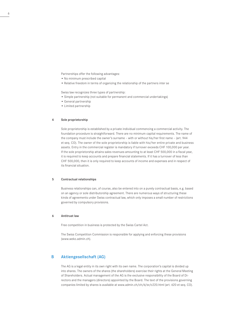Partnerships offer the following advantages:

- No minimum prescribed capital
- Relative freedom in terms of organizing the relationship of the partners inter se

Swiss law recognizes three types of partnership:

- Simple partnership (not suitable for permanent and commercial undertakings)
- General partnership
- Limited partnership

#### 4 Sole proprietorship

Sole proprietorship is established by a private individual commencing a commercial activity. The foundation procedure is straightforward. There are no minimum capital requirements. The name of the company must include the owner's surname – with or without his/her first name – (art. 944 et seq. CO). The owner of the sole proprietorship is liable with his/her entire private and business assets. Entry in the commercial register is mandatory if turnover exceeds CHF 100,000 per year. If the sole proprietorship attains sales revenues amounting to at least CHF 500,000 in a fiscal year, it is required to keep accounts and prepare financial statements. If it has a turnover of less than CHF 500,000, then it is only required to keep accounts of income and expenses and in respect of its financial situation.

#### 5 Contractual relationships

Business relationships can, of course, also be entered into on a purely contractual basis, e.g. based on an agency or sole distributorship agreement. There are numerous ways of structuring these kinds of agreements under Swiss contractual law, which only imposes a small number of restrictions governed by compulsory provisions.

#### 6 Antitrust law

Free competition in business is protected by the Swiss Cartel Act.

The Swiss Competition Commission is responsible for applying and enforcing these provisions (www.weko.admin.ch).

#### B Aktiengesellschaft (AG)

The AG is a legal entity in its own right with its own name. The corporation's capital is divided up into shares. The owners of the shares (the shareholders) exercise their rights at the General Meeting of Shareholders. Actual management of the AG is the exclusive responsibility of the Board of Directors and the managers (directors) appointed by the Board. The text of the provisions governing companies limited by shares is available at www.admin.ch/ch/d/sr/c220.html (art. 620 et seq. CO).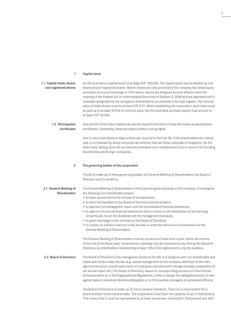#### Capital stock 1

| 1.1 Capital stock, bearer<br>and registered shares | An AG must have a capital stock of at least CHF 100,000. The capital stock may be divided up into<br>bearer and/or registered shares. Bearer shares are only permitted if the company has listed equity<br>securities on a stock exchange or if the bearer shares are designed as book effects within the<br>meaning of the Federal Act on Intermediated Securities of October 3, 2008 and are deposited with a<br>custodian designated by the company in Switzerland or are entered in the main register. The nominal<br>value of these shares must be at least CHF 0.01. When establishing the corporation, each share must<br>be paid up to at least 20% of its nominal value, but the total paid-up share capital must amount to<br>at least CHF 50,000.                                                                                                                                                                                    |
|----------------------------------------------------|-------------------------------------------------------------------------------------------------------------------------------------------------------------------------------------------------------------------------------------------------------------------------------------------------------------------------------------------------------------------------------------------------------------------------------------------------------------------------------------------------------------------------------------------------------------------------------------------------------------------------------------------------------------------------------------------------------------------------------------------------------------------------------------------------------------------------------------------------------------------------------------------------------------------------------------------------|
| 1.2 Participation<br>certificates                  | One portion of the share capital can also be issued in the form of what are known as participation<br>certificates. Essentially, these are shares without voting rights.                                                                                                                                                                                                                                                                                                                                                                                                                                                                                                                                                                                                                                                                                                                                                                        |
|                                                    | One or more individuals or legal entities are required to form an AG. If the shareholders are individ-<br>uals, it is irrelevant by Swiss corporate law whether they are Swiss nationals or foreigners. On the<br>other hand, setting up an AG can become somewhat more complicated if one or more of the founding<br>shareholders are foreign companies.                                                                                                                                                                                                                                                                                                                                                                                                                                                                                                                                                                                       |
| $\overline{2}$                                     | The governing bodies of the corporation                                                                                                                                                                                                                                                                                                                                                                                                                                                                                                                                                                                                                                                                                                                                                                                                                                                                                                         |
|                                                    | The AG is made up of three governing bodies: the General Meeting of Shareholders, the Board of<br>Directors and the auditors.                                                                                                                                                                                                                                                                                                                                                                                                                                                                                                                                                                                                                                                                                                                                                                                                                   |
| 2.1 General Meeting of<br>Shareholders             | The General Meeting of Shareholders is the supreme governing body of the company. It is assigned<br>the following non-transferable powers:<br>• to draw up and amend the Articles of Incorporation;<br>• to elect the members of the Board of Directors and the auditors;<br>• to approve the management report and the consolidated financial statements;<br>• to approve the annual financial statements and to resolve on the distribution of net earnings<br>(in particular, to set the dividends and the management bonuses);<br>• to grant discharge to the members of the Board of Directors;<br>• to resolve on matters reserved under the law or under the Articles of Incorporation for the<br>General Meeting of Shareholders.<br>The General Meeting of Shareholders must be convened at least once a year (within six months<br>of the end of the fiscal year). Extraordinary meetings may be convened at any time by the Board of |
| 2.2 Board of Directors                             | Directors, by shareholders representing at least 10% of the capital stock or by the auditors.<br>The Board of Directors is the management board of the AG. It is assigned with non-transferable and<br>inalienable duties under the law (e.g. overall management of the company, definition of the man-<br>agement structure, overall supervision of employees entrusted with managerial tasks, preparation of<br>the annual report etc.) The Board of Directors, based on corresponding provisions in the Articles<br>of Incorporation or in the Organizational Regulations, is free to assign the delegable portion of man-<br>agerial tasks to individual members (delegates) or to third parties (managers or authorized officers).<br>The Board of Directors is made up of one or several members. There is no requirement for a<br>board member to be a shareholder. The corporation must have the capacity to act in Switzerland.        |

This means that it must be represented by at least one person domiciled in Switzerland and with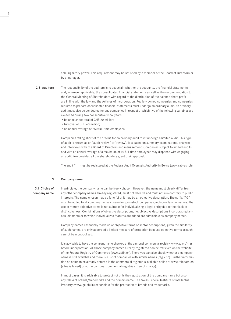sole signatory power. This requirement may be satisfied by a member of the Board of Directors or by a manager.

The responsibility of the auditors is to ascertain whether the accounts, the financial statements and, wherever applicable, the consolidated financial statements as well as the recommendation to the General Meeting of Shareholders with regard to the distribution of the balance sheet profit are in line with the law and the Articles of Incorporation. Publicly owned companies and companies required to prepare consolidated financial statements must undergo an ordinary audit. An ordinary audit must also be conducted for any companies in respect of which two of the following variables are exceeded during two consecutive fiscal years: 2.3 Auditors

- balance sheet total of CHF 20 million;
- turnover of CHF 40 million;
- an annual average of 250 full-time employees.

Companies falling short of the criteria for an ordinary audit must undergo a limited audit. This type of audit is known as an "audit review" or "review". It is based on summary examinations, analyses and interviews with the Board of Directors and management. Companies subject to limited audits and with an annual average of a maximum of 10 full-time employees may dispense with engaging an audit firm provided all the shareholders grant their approval.

The audit firm must be registered at the Federal Audit Oversight Authority in Berne (www.rab-asr.ch).

#### Company name 3

# 3.1 Choice of company name

In principle, the company name can be freely chosen. However, the name must clearly differ from any other company names already registered, must not deceive and must not run contrary to public interests. The name chosen may be fanciful or it may be an objective description. The suffix "AG" must be added to all company names chosen for joint-stock companies, including fanciful names. The use of merely objective terms is not suitable for individualizing a legal entity due to their lack of distinctiveness. Combinations of objective descriptions, i.e. objective descriptions incorporating fanciful elements or to which individualized features are added are admissible as company names.

Company names essentially made up of objective terms or sector descriptions, given the similarity of such names, are only accorded a limited measure of protection because objective terms as such cannot be monopolized.

It is advisable to have the company name checked at the cantonal commercial registry (www.zg.ch/hra) before incorporation. All those company names already registered can be retrieved on the website of the Federal Registry of Commerce (www.zefix.ch). There you can also check whether a company name is still available and there is a list of companies with similar names (regix.ch). Further information on companies already entered in the commercial register is available online at www.teledata.ch (a fee is levied) or at the cantonal commercial registries (free of charge).

In most cases, it is advisable to protect not only the registration of the company name but also any relevant brands/trademarks and the domain name. The Swiss Federal Institute of Intellectual Property (www.ige.ch) is responsible for the protection of brands and trademarks.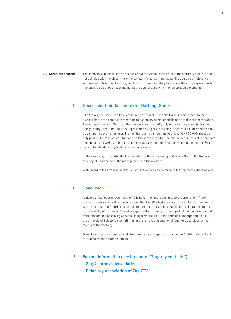### 3.2 Corporate domicile

The company's domicile can be chosen anywhere within Switzerland. If the statutory domicile does not coincide with the place where the company is actually managed, this could be of relevance with regard to taxation. As a rule, liability for tax exists at the place where the company is actually managed (place of business) and not at the domicile shown in the registration documents.

#### Gesellschaft mit beschränkter Haftung (GmbH) C

Like the AG, the GmbH is a legal entity in its own right. Since the GmbH is very similar to the AG, please refer to the comments regarding the company name, domicile and articles of incorporation. The incorporation of a GmbH, in the same way as for an AG, only requires one person (individual or legal entity). The GmbH must be represented by a person residing in Switzerland. This person can be a shareholder or a manager. The nominal capital, amounting to at least CHF 20,000, must be fully paid in. There is no statutory cap on the nominal capital. The minimum nominal value per share must be at least CHF 100. In the event of recapitalization this figure may be reduced to one Swiss franc. Shareholders may hold more than one share.

In the same way as for AGs, the law provides for three governing bodies at a GmbH: the General Meeting of Shareholders, the management and the auditors.

With regard to the arrangements for auditors reference can be made to the comments above on AGs.

#### **Conclusion** D

A glance at statistics shows that the AG is by far the most popular type of corporation. There are various reasons for this. It is often said that the AG's higher capital base makes it more creditworthy and that the GmbH is unsuitable for larger corporations because of the limitations to the transferability of its shares. The advantages of GmbHs and partnerships include the lower capital requirements, the possibility of establishing further duties in the Articles of Incorporation and the principle of Selbstorganschaft [managerial and representational functions exercised by the members themselves].

Given its corporate organizational structure (separate legal personality) the GmbH is also suitable for transformation later on into an AG.

Further information (see brochure: "Zug: key contacts"): E

# – Zug Attorney's Association

– Fiduciary Association of Zug ZTV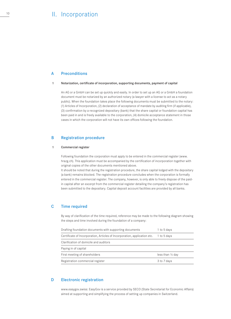# II. Incorporation

#### A **Preconditions**

#### 1 Notarization, certificate of incorporation, supporting documents, payment of capital

An AG or a GmbH can be set up quickly and easily. In order to set up an AG or a GmbH a foundation document must be notarized by an authorized notary (a lawyer with a license to act as a notary public). When the foundation takes place the following documents must be submitted to the notary: (1) Articles of Incorporation, (2) declaration of acceptance of mandate by auditing firm (if applicable), (3) confirmation by a recognized depositary (bank) that the share capital or foundation capital has been paid in and is freely available to the corporation, (4) domicile acceptance statement in those cases in which the corporation will not have its own offices following the foundation.

#### B Registration procedure

#### 1 Commercial register

Following foundation the corporation must apply to be entered in the commercial register (www. hrazg.ch). This application must be accompanied by the certification of incorporation together with original copies of the other documents mentioned above.

It should be noted that during the registration procedure, the share capital lodged with the depositary (a bank) remains blocked. The registration procedure concludes when the corporation is formally entered in the commercial register. The company, however, is only able to freely dispose of the paidin capital after an excerpt from the commercial register detailing the company's registration has been submitted to the depositary. Capital deposit account facilities are provided by all banks.

#### C Time required

By way of clarification of the time required, reference may be made to the following diagram showing the steps and time involved during the foundation of a company:

| Drafting foundation documents with supporting documents                   | 1 to 5 days                 |
|---------------------------------------------------------------------------|-----------------------------|
| Certificate of Incorporation, Articles of Incorporation, application etc. | 1 to 5 days                 |
| Clarification of domicile and auditors                                    |                             |
| Paying in of capital                                                      |                             |
| First meeting of shareholders                                             | less than $\frac{1}{2}$ day |
| Registration commercial register                                          | 3 to 7 days                 |

#### D Electronic registration

www.easygov.swiss: EasyGov is a service provided by SECO (State Secretariat for Economic Affairs) aimed at supporting and simplifying the process of setting up companies in Switzerland.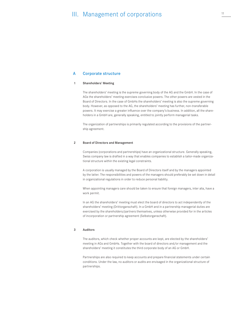# III. Management of corporations  $\frac{11}{2}$

#### A Corporate structure

#### 1 Shareholders' Meeting

The shareholders' meeting is the supreme governing body of the AG and the GmbH. In the case of AGs the shareholders' meeting exercises conclusive powers. The other powers are vested in the Board of Directors. In the case of GmbHs the shareholders' meeting is also the supreme governing body. However, as opposed to the AG, the shareholders' meeting has further, non-transferable powers. It may exercise a greater influence over the company's business. In addition, all the shareholders in a GmbH are, generally speaking, entitled to jointly perform managerial tasks.

The organization of partnerships is primarily regulated according to the provisions of the partnership agreement.

#### 2 Board of Directors and Management

Companies (corporations and partnerships) have an organizational structure. Generally speaking, Swiss company law is drafted in a way that enables companies to establish a tailor-made organizational structure within the existing legal constraints.

A corporation is usually managed by the Board of Directors itself and by the managers appointed by the latter. The responsibilities and powers of the managers should preferably be set down in detail in organizational regulations in order to reduce personal liability.

When appointing managers care should be taken to ensure that foreign managers, inter alia, have a work permit.

In an AG the shareholders' meeting must elect the board of directors to act independently of the shareholders' meeting (Drittorganschaft). In a GmbH and in a partnership managerial duties are exercised by the shareholders/partners themselves, unless otherwise provided for in the articles of incorporation or partnership agreement (Selbstorganschaft).

#### 3 Auditors

The auditors, which check whether proper accounts are kept, are elected by the shareholders' meeting in AGs and GmbHs. Together with the board of directors and/or management and the shareholders' meeting it constitutes the third corporate body of an AG or GmbH.

Partnerships are also required to keep accounts and prepare financial statements under certain conditions. Under the law, no auditors or audits are envisaged in the organizational structure of partnerships.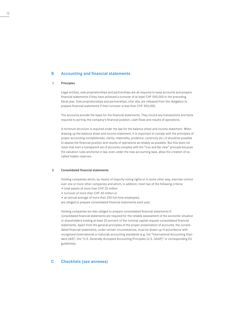#### B Accounting and financial statements

#### 1 Principles

Legal entities, sole proprietorships and partnerships are all required to keep accounts and prepare financial statements if they have achieved a turnover of at least CHF 500,000 in the preceding fiscal year. Sole proprietorships and partnerships, inter alia, are released from the obligation to prepare financial statements if their turnover is less than CHF 500,000.

The accounts provide the basis for the financial statements. They record any transactions and facts required to portray the company's financial position, cash flows and results of operations.

A minimum structure is required under the law for the balance sheet and income statement. When drawing up the balance sheet and income statement, it is important to comply with the principles of proper accounting (completeness, clarity, materiality, prudence, continuity etc.) It should be possible to assess the financial position and results of operations as reliably as possible. But this does not mean that even a transparent set of accounts complies with the "true and fair view" principle because the valuation rules anchored in law, even under the new accounting laws, allow the creation of socalled hidden reserves.

#### $\overline{2}$ Consolidated financial statements

Holding companies which, by means of majority voting rights or in some other way, exercise control over one or more other companies and which, in addition, meet two of the following criteria:

- total assets of more than CHF 20 million
- turnover of more than CHF 40 million or
- an annual average of more than 250 full-time employees,

are obliged to prepare consolidated financial statements each year.

Holding companies are also obliged to prepare consolidated financial statements if: consolidated financial statements are required for the reliable assessment of the economic situation or shareholders holding at least 20 percent of the nominal capital request consolidated financial statements. Apart from the general principles of the proper presentation of accounts, the consolidated financial statements, under certain circumstances, must be drawn up in accordance with recognized (international or national) accounting standards (e.g. the "International Accounting Standard (IAS)", the "U.S. Generally Accepted Accounting Principles (U.S. GAAP)" or corresponding EU guidelines).

#### C Checklists (see annexes)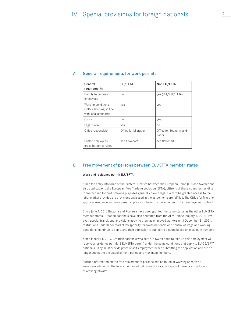| General<br>requirements                                                 | EU/EFTA              | Non-EU/EFTA                     |
|-------------------------------------------------------------------------|----------------------|---------------------------------|
| Priority to domestic<br>employees                                       | no                   | yes (CH / EU / EFTA)            |
| Working conditions<br>(salary, housing) in line<br>with local standards | yes                  | yes                             |
| Quota                                                                   | no                   | yes                             |
| Legal claim                                                             | yes                  | no                              |
| Office responsible                                                      | Office for Migration | Office for Economy and<br>Labor |
| Posted employees,<br>cross-border services                              | see flowchart        | see flowchart                   |

#### General requirements for work permits A

#### Free movement of persons between EU/EFTA member states B

#### Work and residence permit EU/EFTA 1

Since the entry into force of the Bilateral Treaties between the European Union (EU) and Switzerland, also applicable to the European Free Trade Association (EFTA), citizens of these countries residing in Switzerland for profit-making purposes generally have a legal claim to be granted access to the labor market provided the provisions envisaged in the agreements are fulfilled. The Office for Migration approves residence and work permit applications based on the submission of an employment contract.

Since June 1, 2016 Bulgaria and Romania have been granted the same status as the other EU/EFTA member states. Croatian nationals have also benefited from the AFMP since January 1, 2017. However, special transitional provisions apply to them as employed workers until December 31, 2021: restrictions under labor market law (priority for Swiss nationals and control of wage and working conditions) continue to apply, and their admission is subject to a quota based on maximum numbers.

Since January 1, 2019, Croatian nationals who settle in Switzerland to take up self-employment will receive a residence permit (B EU/EFTA permit) under the same conditions that apply to EU-25/EFTA nationals. They must provide proof of self-employment when submitting the application and are no longer subject to the establishment period and maximum numbers.

Further information on the free movement of persons can be found at www.zg.ch/afm or www.sem.admin.ch. The forms mentioned below for the various types of permit can be found at www.zg.ch/afm.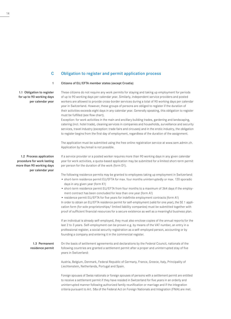#### $\mathbf{C}$ Obligation to register and permit application process

#### 1 Citizens of EU/EFTA member states (except Croatia)

1.1 Obligation to register for up to 90 working days per calendar year These citizens do not require any work permits for staying and taking up employment for periods of up to 90 working days per calendar year. Similarly, independent service providers and posted workers are allowed to provide cross-border services during a total of 90 working days per calendar year in Switzerland. However, these groups of persons are obliged to register if the duration of their activities exceeds eight days in any calendar year. Generally speaking, this obligation to register must be fulfilled (see flow chart).

Exception: for work activities in the main and ancillary building trades, gardening and landscaping, catering (incl. hotel trade), cleaning services in companies and households, surveillance and security services, travel industry (exception: trade fairs and circuses) and in the erotic industry, the obligation to register begins from the first day of employment, regardless of the duration of the assignment.

The application must be submitted using the free online registration service at www.sem.admin.ch. Application by fax/email is not possible.

1.2 Process application procedure for work lasting more than 90 working days per calendar year

If a service provider or a posted worker requires more than 90 working days in any given calendar year for work activities, a quota-based application may be submitted for a limited short-term permit per person for the duration of the work (form D1).

The following residence permits may be granted to employees taking up employment in Switzerland:

- short-term residence permit EU/EFTA for max. four months uninterruptedly or max. 120 sporadic days in any given year (form K1)
- short-term residence permit EU/EFTA from four months to a maximum of 364 days if the employment contract has been concluded for less than one year (form A1)

• residence permit EU/EFTA for five years for indefinite employment contracts (form A1) In order to obtain an EU/EFTA residence permit for self-employment (valid for one year), the SE 1 application form (for sole proprietorships/ limited liability companies) must be submitted together with proof of sufficient financial resources for a secure existence as well as a meaningful business plan.

If an individual is already self-employed, they must also enclose copies of the annual reports for the last 2 to 3 years. Self-employment can be proven e.g. by means of the VAT number, an entry in a professional register, a social security registration as a self-employed person, accounting or by founding a company and entering it in the commercial register.

1.3 Permanent residence permit On the basis of settlement agreements and declarations by the Federal Council, nationals of the following countries are granted a settlement permit after a proper and uninterrupted stay of five years in Switzerland:

> Austria, Belgium, Denmark, Federal Republic of Germany, France, Greece, Italy, Principality of Liechtenstein, Netherlands, Portugal and Spain.

Foreign spouses of Swiss nationals or foreign spouses of persons with a settlement permit are entitled to receive a settlement permit if they have resided in Switzerland for five years in an orderly and uninterrupted manner following authorized family reunification or marriage and if the integration criteria pursuant to Art. 58a of the Federal Act on Foreign Nationals and Integration (FNIA) are met.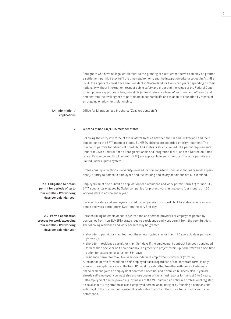Foreigners who have no legal entitlement to the granting of a settlement permit can only be granted a settlement permit if they fulfil the time requirements and the integration criteria set out in Art. 58a FNIA: the applicants must have been resident in Switzerland for five or ten years depending on their nationality without interruption, respect public safety and order and the values of the Federal Constitution, possess appropriate language skills (at least reference level A1 (written) and A2 (oral)) and demonstrate their willingness to participate in economic life and to acquire education by means of an ongoing employment relationship.

### 1.4 Information/ applications

Office for Migration (see brochure: "Zug: key contacts")

#### 2 Citizens of non-EU/EFTA member states

Following the entry into force of the Bilateral Treaties between the EU and Switzerland and their application to the EFTA member states, EU/EFTA citizens are accorded priority treatment. The number of permits for citizens of non-EU/EFTA states is strictly limited. The permit requirements under the Swiss Federal Act on Foreign Nationals and Integration (FNIA) and the Decree on Admittance, Residence and Employment (VZAE) are applicable to such persons. The work permits are limited under a quota system.

Professional qualifications (university-level education, long-term specialist and managerial experience), priority to domestic employees and the working and salary conditions are all examined.

Employers must also submit an application for a residence and work permit (form K2) for non-EU/ EFTA specialists engaged by Swiss companies for project work lasting up to four months or 120 working days in any calendar year.

Service providers and employees posted by companies from non-EU/EFTA states require a residence and work permit (form K2) from the very first day.

Persons taking up employment in Switzerland and service providers or employees posted by companies from non-EU/EFTA states require a residence and work permit from the very first day. The following residence and work permits may be granted:

- short-term permit for max. four months uninterrupted stay or max. 120 sporadic days per year (form K2);
- short-term residence permit for max. 364 days if the employment contract has been concluded for less than one year or if new company is a greenfield project/start-up (form B2) with a one-time option for extension by a further 364 days;
- residence permit for max. five years for indefinite employment contracts (form B2).

A residence permit for work on a self-employed basis (regardless of the corporate form) is only granted in exceptional cases. The form B2 must be submitted together with proof of adequate financial means (with an employment contract if need be) and a detailed business plan. If you are already self-employed, you must also enclose copies of the annual reports for the last 2 to 3 years. Self-employment can be proven e.g. by means of the VAT number, an entry in a professional register, a social security registration as a self-employed person, accounting or by founding a company and entering it in the commercial register. It is advisable to contact the Office for Economy and Labor beforehand.

2.1 Obligation to obtain permit for periods of up to four months/120 working days per calendar year

2.2 Permit application process for work exceeding four months/120 working days per calendar year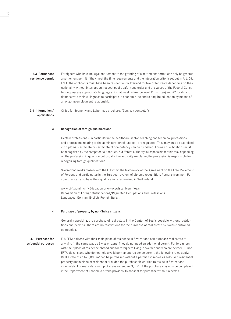2.3 Permanent residence permit Foreigners who have no legal entitlement to the granting of a settlement permit can only be granted a settlement permit if they meet the time requirements and the integration criteria set out in Art. 58a FNIA: the applicants must have been resident in Switzerland for five or ten years depending on their nationality without interruption, respect public safety and order and the values of the Federal Constitution, possess appropriate language skills (at least reference level A1 (written) and A2 (oral)) and demonstrate their willingness to participate in economic life and to acquire education by means of an ongoing employment relationship.

2.4 Information/ applications Office for Economy and Labor (see brochure: "Zug: key contacts")

#### 3 Recognition of foreign qualifications

Certain professions – in particular in the healthcare sector, teaching and technical professions and professions relating to the administration of justice – are regulated. They may only be exercised if a diploma, certificate or certificate of competency can be furnished. Foreign qualifications must be recognized by the competent authorities. A different authority is responsible for this task depending on the profession in question but usually, the authority regulating the profession is responsible for recognizing foreign qualifications.

Switzerland works closely with the EU within the framework of the Agreement on the Free Movement of Persons and participates in the European system of diploma recognition. Persons from non-EU countries can also have their qualifications recognized in Switzerland.

www.sbfi.admin.ch > Education or www.swissuniversities.ch Recognition of Foreign Qualifications/Regulated Occupations and Professions Languages: German, English, French, Italian.

#### 4 Purchase of property by non-Swiss citizens

Generally speaking, the purchase of real estate in the Canton of Zug is possible without restrictions and permits. There are no restrictions for the purchase of real estate by Swiss-controlled companies.

4.1 Purchase for residential purposes EU/EFTA citizens with their main place of residence in Switzerland can purchase real estate of any kind in the same way as Swiss citizens. They do not need an additional permit. For foreigners with their place of residence abroad and for foreigners living in Switzerland who are neither EU nor EFTA citizens and who do not hold a valid permanent residence permit, the following rules apply: Real estate of up to  $3,000$  m<sup>2</sup> can be purchased without a permit if it serves as self-used residential property (main place of residence) provided the purchaser is entitled to reside in Switzerland indefinitely. For real estate with plot areas exceeding  $3,000$  m<sup>2</sup> the purchase may only be completed if the Department of Economic Affairs provides its consent for purchase without a permit.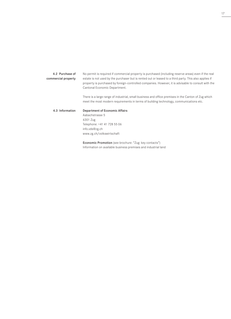| 4.2 Purchase of<br>commercial property | No permit is required if commercial property is purchased (including reserve areas) even if the real<br>estate is not used by the purchaser but is rented out or leased to a third party. This also applies if<br>property is purchased by foreign-controlled companies. However, it is advisable to consult with the<br>Cantonal Economic Department. |
|----------------------------------------|--------------------------------------------------------------------------------------------------------------------------------------------------------------------------------------------------------------------------------------------------------------------------------------------------------------------------------------------------------|
|                                        | There is a large range of industrial, small business and office premises in the Canton of Zug which<br>meet the most modern requirements in terms of building technology, communications etc.                                                                                                                                                          |
| 4.3 Information                        | <b>Department of Economic Affairs</b><br>Aabachstrasse 5<br>6301 Zug<br>Telephone: +41 41 728 55 06<br>info.vds@zg.ch<br>www.zg.ch/volkswirtschaft                                                                                                                                                                                                     |

Economic Promotion (see brochure: "Zug: key contacts") Information on available business premises and industrial land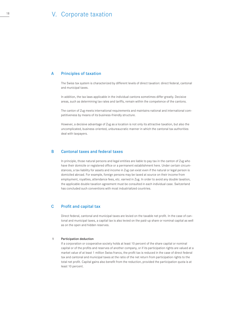# V. Corporate taxation

#### A Principles of taxation

The Swiss tax system is characterized by different levels of direct taxation: direct federal, cantonal and municipal taxes.

In addition, the tax laws applicable in the individual cantons sometimes differ greatly. Decisive areas, such as determining tax rates and tariffs, remain within the competence of the cantons.

The canton of Zug meets international requirements and maintains national and international competitiveness by means of its business-friendly structure.

However, a decisive advantage of Zug as a location is not only its attractive taxation, but also the uncomplicated, business-oriented, unbureaucratic manner in which the cantonal tax authorities deal with taxpayers.

#### B Cantonal taxes and federal taxes

In principle, those natural persons and legal entities are liable to pay tax in the canton of Zug who have their domicile or registered office or a permanent establishment here. Under certain circumstances, a tax liability for assets and income in Zug can exist even if the natural or legal person is domiciled abroad. For example, foreign persons may be taxed at source on their income from employment, royalties, attendance fees, etc. earned in Zug. In order to avoid any double taxation, the applicable double taxation agreement must be consulted in each individual case. Switzerland has concluded such conventions with most industrialized countries.

#### C Profit and capital tax

Direct federal, cantonal and municipal taxes are levied on the taxable net profit. In the case of cantonal and municipal taxes, a capital tax is also levied on the paid-up share or nominal capital as well as on the open and hidden reserves.

#### 1 Participation deduction

If a corporation or cooperative society holds at least 10 percent of the share capital or nominal capital or of the profits and reserves of another company, or if its participation rights are valued at a market value of at least 1 million Swiss francs, the profit tax is reduced in the case of direct federal tax and cantonal and municipal taxes at the ratio of the net return from participation rights to the total net profit. Capital gains also benefit from the reduction, provided the participation quota is at least 10 percent.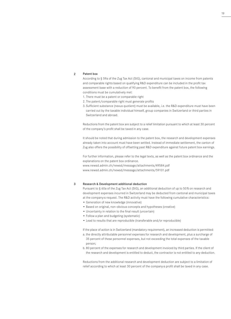#### Patent box  $\overline{2}$

According to § 59a of the Zug Tax Act (StG), cantonal and municipal taxes on income from patents and comparable rights based on qualifying R&D expenditure can be included in the profit tax assessment base with a reduction of 90 percent. To benefit from the patent box, the following conditions must be cumulatively met:

- 1. There must be a patent or comparable right
- 2. The patent/comparable right must generate profits
- 3. Sufficient substance (nexus quotient) must be available, i.e. the R&D expenditure must have been carried out by the taxable individual himself, group companies in Switzerland or third parties in Switzerland and abroad.

Reductions from the patent box are subject to a relief limitation pursuant to which at least 30 percent of the company's profit shall be taxed in any case.

It should be noted that during admission to the patent box, the research and development expenses already taken into account must have been settled. Instead of immediate settlement, the canton of Zug also offers the possibility of offsetting past R&D expenditure against future patent box earnings.

For further information, please refer to the legal texts, as well as the patent box ordinance and the explanations on the patent box ordinance.

www.newsd.admin.ch/newsd/message/attachments/49584.pdf www.newsd.admin.ch/newsd/message/attachments/59101.pdf

#### Research & Development additional deduction 3

Pursuant to § 60a of the Zug Tax Act (StG), an additional deduction of up to 50 % on research and development expenses incurred in Switzerland may be deducted from cantonal and municipal taxes at the company's request. The R&D activity must have the following cumulative characteristics:

- Generation of new knowledge (innovative)
- Based on original, non-obvious concepts and hypotheses (creative)
- Uncertainty in relation to the final result (uncertain)
- Follow a plan and budgeting (systematic)
- Lead to results that are reproducible (transferable and/or reproducible)

If the place of action is in Switzerland (mandatory requirement), an increased deduction is permitted:

- a. the directly attributable personnel expenses for research and development, plus a surcharge of 35 percent of these personnel expenses, but not exceeding the total expenses of the taxable person;
- b. 80 percent of the expenses for research and development invoiced by third parties. If the client of the research and development is entitled to deduct, the contractor is not entitled to any deduction.

Reductions from the additional research and development deduction are subject to a limitation of relief according to which at least 30 percent of the company›s profit shall be taxed in any case.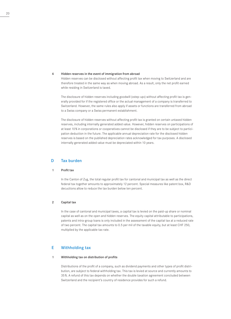#### 4 Hidden reserves in the event of immigration from abroad

Hidden reserves can be disclosed without affecting profit tax when moving to Switzerland and are therefore treated in the same way as when moving abroad. As a result, only the net profit earned while residing in Switzerland is taxed.

The disclosure of hidden reserves including goodwill («step-up») without affecting profit tax is generally provided for if the registered office or the actual management of a company is transferred to Switzerland. However, the same rules also apply if assets or functions are transferred from abroad to a Swiss company or a Swiss permanent establishment.

The disclosure of hidden reserves without affecting profit tax is granted on certain untaxed hidden reserves, including internally generated added value. However, hidden reserves on participations of at least 10 % in corporations or cooperatives cannot be disclosed if they are to be subject to participation deduction in the future. The applicable annual depreciation rate for the disclosed hidden reserves is based on the published depreciation rates acknowledged for tax purposes. A disclosed internally generated added value must be depreciated within 10 years.

#### D Tax burden

#### 1 Profit tax

In the Canton of Zug, the total regular profit tax for cantonal and municipal tax as well as the direct federal tax together amounts to approximately 12 percent. Special measures like patent box, R&D decuctions allow to reduce the tax burden below ten percent.

#### 2 Capital tax

In the case of cantonal and municipal taxes, a capital tax is levied on the paid-up share or nominal capital as well as on the open and hidden reserves. The equity capital attributable to participations, patents and intra-group loans is only included in the assessment of the capital tax at a reduced rate of two percent. The capital tax amounts to 0.5 per mil of the taxable equity, but at least CHF 250, multiplied by the applicable tax rate.

#### E Withholding tax

#### 1 Withholding tax on distribution of profits

Distributions of the profit of a company, such as dividend payments and other types of profit distribution, are subject to federal withholding tax. This tax is levied at source and currently amounts to 35 %. A refund of this tax depends on whether the double taxation agreement concluded between Switzerland and the recipient's country of residence provides for such a refund.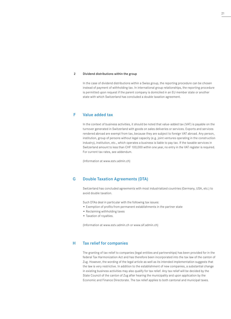#### 2 Dividend distributions within the group

In the case of dividend distributions within a Swiss group, the reporting procedure can be chosen instead of payment of withholding tax. In international group relationships, the reporting procedure is permitted upon request if the parent company is domiciled in an EU member state or another state with which Switzerland has concluded a double taxation agreement.

#### F Value added tax

In the context of business activities, it should be noted that value-added tax (VAT) is payable on the turnover generated in Switzerland with goods on sales deliveries or services. Exports and services rendered abroad are exempt from tax, because they are subject to foreign VAT abroad. Any person, institution, group of persons without legal capacity (e.g. joint ventures operating in the construction industry), institution, etc., which operates a business is liable to pay tax. If the taxable services in Switzerland amount to less than CHF 100,000 within one year, no entry in the VAT register is required. For current tax rates, see addendum.

(Information at www.estv.admin.ch)

#### G Double Taxation Agreements (DTA)

Switzerland has concluded agreements with most industrialized countries (Germany, USA, etc.) to avoid double taxation.

Such DTAs deal in particular with the following tax issues:

- Exemption of profits from permanent establishments in the partner state
- Reclaiming withholding taxes
- Taxation of royalties.

(Information at www.estv.admin.ch or www.sif.admin.ch)

#### H Tax relief for companies

The granting of tax relief to companies (legal entities and partnerships) has been provided for in the federal Tax Harmonization Act and has therefore been incorporated into the tax law of the canton of Zug. However, the wording of the legal article as well as its intended implementation suggests that the law is very restrictive. In addition to the establishment of new companies, a substantial change in existing business activities may also qualify for tax relief. Any tax relief will be decided by the State Council of the canton of Zug after hearing the municipality and upon application by the Economic and Finance Directorate. The tax relief applies to both cantonal and municipal taxes.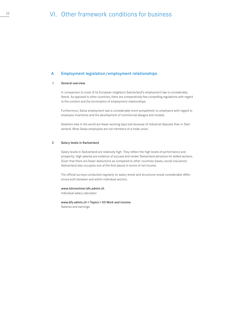#### A Employment legislation/employment relationships

#### 1 General overview

In comparison to most of its European neighbors Switzerland's employment law is considerably liberal. As opposed to other countries, there are comparatively few compelling regulations with regard to the content and the termination of employment relationships.

Furthermore, Swiss employment law is considerably more sympathetic to employers with regard to employee inventions and the development of commercial designs and models.

Nowhere else in the world are fewer working days lost because of industrial disputes than in Switzerland. Most Swiss employees are not members of a trade union.

#### 2 Salary levels in Switzerland

Salary levels in Switzerland are relatively high. They reflect the high levels of performance and prosperity. High salaries are evidence of success and render Switzerland attractive for skilled workers. Given that there are fewer deductions as compared to other countries (taxes, social insurance) Switzerland also occupies one of the first places in terms of net income.

The official surveys conducted regularly on salary levels and structures reveal considerable differences both between and within individual sectors.

### www.lohnrechner.bfs.admin.ch

Individual salary calculator

www.bfs.admin.ch > Topics > 03 Work and income Salaries and earnings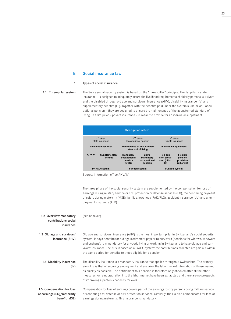#### Social insurance law B

#### Types of social insurance 1

### 1.1. Three-pillar system

The Swiss social security system is based on the "three-pillar" principle. The 1st pillar – state insurance – is designed to adequately insure the livelihood requirements of elderly persons, survivors and the disabled through old age and survivors' insurance (AHV), disability insurance (IV) and supplementary benefits (EL). Together with the benefits paid under the system's 2nd pillar – occupational pension – they are designed to ensure the maintenance of the accustomed standard of living. The 3rd pillar – private insurance – is meant to provide for an individual supplement.



Source: Information office AHV/IV

The three pillars of the social security system are supplemented by the compensation for loss of earnings during military service or civil protection or defense services (EO), the continuing payment of salary during maternity (MSE), family allowances (FAK/FLG), accident insurance (UV) and unemployment insurance (ALV).

| 1.2 Overview mandatory<br>contributions social<br>insurance              | (see annexes)                                                                                                                                                                                                                                                                                                                                                                                                                                                                                  |
|--------------------------------------------------------------------------|------------------------------------------------------------------------------------------------------------------------------------------------------------------------------------------------------------------------------------------------------------------------------------------------------------------------------------------------------------------------------------------------------------------------------------------------------------------------------------------------|
| 1.3 Old age and survivors'<br>insurance (AHV)                            | Old age and survivors' insurance (AHV) is the most important pillar in Switzerland's social security<br>system. It pays benefits for old age (retirement pay) or to survivors (pensions for widows, widowers<br>and orphans). It is mandatory for anybody living or working in Switzerland to have old age and sur-<br>vivors' insurance. The AHV is based on a PAYGO system: the contributions collected are paid out within<br>the same period for benefits to those eligible for a pension. |
| 1.4 Disability insurance<br>(IV)                                         | The disability insurance is a mandatory insurance that applies throughout Switzerland. The primary<br>aim of IV is that of securing employment and ensuring the labor market integration of those insured<br>as quickly as possible. The entitlement to a pension is therefore only checked after all the other<br>measures for reincorporation into the labor market have been exhausted and there are no prospects<br>of improving a person's capacity for work.                             |
| 1.5 Compensation for loss<br>of earnings (EO)/maternity<br>benefit (MSE) | Compensation for loss of earnings covers part of the earnings lost by persons doing military service<br>or rendering civil defense or civil protection services. Similarly, the EO also compensates for loss of<br>earnings during maternity. This insurance is mandatory.                                                                                                                                                                                                                     |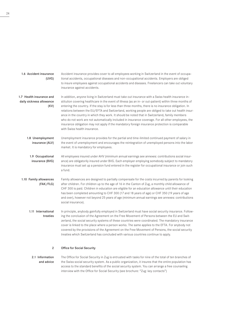| 1.6 Accident insurance<br>(UVG)                              | Accident insurance provides cover to all employees working in Switzerland in the event of occupa-<br>tional accidents, occupational diseases and non-occupational accidents. Employers are obliged<br>to insure employees against occupational accidents and diseases. Freelancers can take out voluntary<br>insurance against accidents.                                                                                                                                                                                                                                                                                                                                                                                                                                |
|--------------------------------------------------------------|--------------------------------------------------------------------------------------------------------------------------------------------------------------------------------------------------------------------------------------------------------------------------------------------------------------------------------------------------------------------------------------------------------------------------------------------------------------------------------------------------------------------------------------------------------------------------------------------------------------------------------------------------------------------------------------------------------------------------------------------------------------------------|
| 1.7 Health insurance and<br>daily sickness allowance<br>(KV) | In addition, anyone living in Switzerland must take out insurance with a Swiss health insurance in-<br>stitution covering healthcare in the event of illness (as an in- or out-patient) within three months of<br>entering the country. If the stay is for less than three months, there is no insurance obligation. In<br>relations between the EU/EFTA and Switzerland, working people are obliged to take out health insur-<br>ance in the country in which they work. It should be noted that in Switzerland, family members<br>who do not work are not automatically included in insurance coverage. For all other employees, the<br>insurance obligation may not apply if the mandatory foreign insurance protection is comparable<br>with Swiss health insurance. |
| 1.8 Unemployment<br>insurance (ALV)                          | Unemployment insurance provides for the partial and time-limited continued payment of salary in<br>the event of unemployment and encourages the reintegration of unemployed persons into the labor<br>market. It is mandatory for employees.                                                                                                                                                                                                                                                                                                                                                                                                                                                                                                                             |
| 1.9 Occupational<br>insurance (BVG)                          | All employees insured under AHV (minimum annual earnings see annexes: contributions social insur-<br>ance) are obligatorily insured under BVG. Each employer employing somebody subject to mandatory<br>insurance must set up a pension fund entered in the register for occupational insurance or join such<br>a fund.                                                                                                                                                                                                                                                                                                                                                                                                                                                  |
| 1.10 Family allowances<br>(FAK/FLG)                          | Family allowances are designed to partially compensate for the costs incurred by parents for looking<br>after children. For children up to the age of 16 in the Canton of Zug, a monthly child allowance of<br>CHF 300 is paid. Children in education are eligible for an education allowance until their education<br>has been completed amounting to CHF 300 (17 and 18 years of age) or CHF 350 (19 years of age<br>and over), however not beyond 25 years of age (minimum annual earnings see annexes: contributions<br>social insurance).                                                                                                                                                                                                                           |
| 1.11 International<br>treaties                               | In principle, anybody gainfully employed in Switzerland must have social security insurance. Follow-<br>ing the conclusion of the Agreement on the Free Movement of Persons between the EU and Swit-<br>zerland, the social security systems of these countries were coordinated. The mandatory insurance<br>cover is linked to the place where a person works. The same applies to the EFTA. For anybody not<br>covered by the provisions of the Agreement on the Free Movement of Persons, the social security<br>treaties which Switzerland has concluded with various countries continue to apply.                                                                                                                                                                   |
| $\overline{2}$                                               | <b>Office for Social Security</b>                                                                                                                                                                                                                                                                                                                                                                                                                                                                                                                                                                                                                                                                                                                                        |
| 2.1 Information                                              | The Office for Social Security in Zug is entrusted with tasks for nine of the total of ten branches of                                                                                                                                                                                                                                                                                                                                                                                                                                                                                                                                                                                                                                                                   |

24

The Office for Social Security in Zug is entrusted with tasks for nine of the total of ten branches of the Swiss social security system. As a public organization, it insures that the entire population has access to the standard benefits of the social security system. You can arrange a free counseling interview with the Office for Social Security (see brochure: "Zug: key contacts") 2.1 Information and advice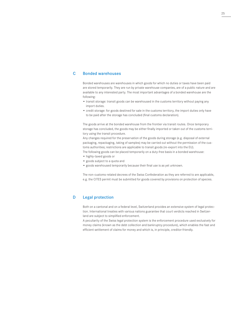#### $\overline{C}$ Bonded warehouses

Bonded warehouses are warehouses in which goods for which no duties or taxes have been paid are stored temporarily. They are run by private warehouse companies, are of a public nature and are available to any interested party. The most important advantages of a bonded warehouse are the following:

- transit storage: transit goods can be warehoused in the customs territory without paying any import duties.
- credit storage: for goods destined for sale in the customs territory, the import duties only have to be paid after the storage has concluded (final customs declaration).

The goods arrive at the bonded warehouse from the frontier via transit routes. Once temporary storage has concluded, the goods may be either finally imported or taken out of the customs territory using the transit procedure.

Any changes required for the preservation of the goods during storage (e.g. disposal of external packaging, repackaging, taking of samples) may be carried out without the permission of the customs authorities; restrictions are applicable to transit goods (re-export into the EU).

The following goods can be placed temporarily on a duty-free basis in a bonded warehouse:

- highly-taxed goods or
- goods subject to a quota and
- goods warehoused temporarily because their final use is as yet unknown.

The non-customs-related decrees of the Swiss Confederation as they are referred to are applicable, e.g. the CITES permit must be submitted for goods covered by provisions on protection of species.

#### D Legal protection

Both on a cantonal and on a federal level, Switzerland provides an extensive system of legal protection. International treaties with various nations guarantee that court verdicts reached in Switzerland are subject to simplified enforcement.

A peculiarity of the Swiss legal protection system is the enforcement procedure used exclusively for money claims (known as the debt collection and bankruptcy procedure), which enables the fast and efficient settlement of claims for money and which is, in principle, creditor-friendly.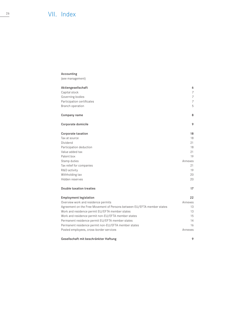# $\frac{26}{2}$  VII. Index

# Accounting

(see management)

| Aktiengesellschaft                                                      | 6              |
|-------------------------------------------------------------------------|----------------|
| Capital stock                                                           | 7              |
| Governing bodies                                                        | $\overline{7}$ |
| Participation certificates                                              | 7              |
| Branch operation                                                        | 5              |
| Company name                                                            | 8              |
| Corporate domicile                                                      | 9              |
| Corporate taxation                                                      | 18             |
| Tax at source                                                           | 18             |
| Dividend                                                                | 21             |
| Participation deduction                                                 | 18             |
| Value added tax                                                         | 21             |
| Patent box                                                              | 19             |
| Stamp duties                                                            | Annexes        |
| Tax relief for companies                                                | 21             |
| R&D activity                                                            | 19             |
| Withholding tax                                                         | 20             |
| Hidden reserves                                                         | 20             |
| Double taxation treaties                                                | 17             |
| <b>Employment legislation</b>                                           | 22             |
| Overview work and residence permits                                     | Annexes        |
| Agreement on the Free Movement of Persons between EU/EFTA member states | 13             |
| Work and residence permit EU/EFTA member states                         | 13             |
| Work and residence permit non-EU/EFTA member states                     | 15             |
| Permanent residence permit EU/EFTA member states                        | 14             |
| Permanent residence permit non-EU/EFTA member states                    | 16             |
| Posted employees, cross-border services                                 | Annexes        |
| Gesellschaft mit beschränkter Haftung                                   | 9              |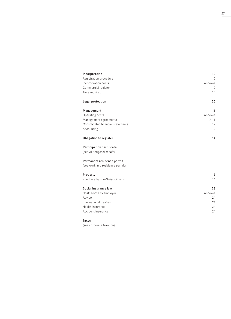| Incorporation                                                                                                          | 10              |
|------------------------------------------------------------------------------------------------------------------------|-----------------|
| Registration procedure                                                                                                 | 10 <sup>1</sup> |
| Incorporation costs                                                                                                    | Annexes         |
| Commercial register                                                                                                    | 10 <sup>1</sup> |
| Time required                                                                                                          | 10              |
| Legal protection                                                                                                       | 25              |
| Management                                                                                                             | 11              |
| Operating costs                                                                                                        | Annexes         |
| Management agreements                                                                                                  | 7, 11           |
| Consolidated financial statements                                                                                      | 12              |
| Accounting                                                                                                             | 12              |
| Obligation to register                                                                                                 | 14              |
| Participation certificate<br>(see Aktiengesellschaft)<br>Permanent residence permit<br>(see work and residence permit) |                 |
| Property                                                                                                               | 16              |
| Purchase by non-Swiss citizens                                                                                         | 16              |
| Social insurance law                                                                                                   | 23              |
| Costs borne by employer                                                                                                | Annexes         |
| Advice                                                                                                                 | 24              |
| International treaties                                                                                                 | 24              |
| Health insurance                                                                                                       | 24              |
| Accident insurance                                                                                                     | 24              |

# Taxes

(see corporate taxation)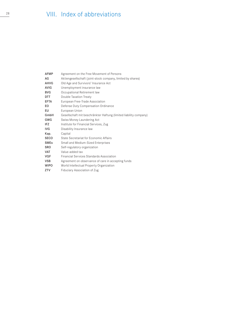# $\frac{28}{2}$  VIII. Index of abbreviations

| <b>AFMP</b> | Agreement on the Free Movement of Persons                         |
|-------------|-------------------------------------------------------------------|
| AG          | Aktiengesellschaft (joint-stock company, limited by shares)       |
| <b>AHVG</b> | Old Age and Survivors' Insurance Act                              |
| <b>AVIG</b> | Unemployment insurance law                                        |
| <b>BVG</b>  | Occupational Retirement law                                       |
| DTT         | Double Taxation Treaty                                            |
| EFTA        | European Free-Trade Association                                   |
| EO.         | Defense Duty Compensation Ordinance                               |
| EU          | European Union                                                    |
| GmbH        | Gesellschaft mit beschränkter Haftung (limited liability company) |
| GWG         | Swiss Money Laundering Act                                        |
| IFZ         | Institute for Financial Services, Zug                             |
| <b>IVG</b>  | Disability Insurance law                                          |
| Kap.        | Capital                                                           |
| SECO        | State Secretariat for Economic Affairs                            |
| <b>SMEs</b> | <b>Small and Medium-Sized Enterprises</b>                         |
| <b>SRO</b>  | Self-regulatory organization                                      |
| <b>VAT</b>  | Value-added tax                                                   |
| VQF         | <b>Financial Services Standards Association</b>                   |
| <b>VSB</b>  | Agreement on observance of care in accepting funds                |
| <b>WIPO</b> | World Intellectual Property Organization                          |
| ZTV         | Fiduciary Association of Zug                                      |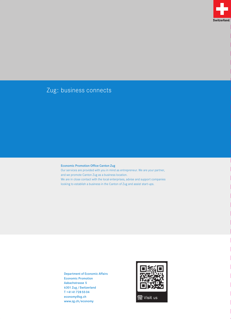

# Zug: business connects

# Economic Promotion Office Canton Zug

Our services are provided with you in mind as entrepreneur. We are your partner, and we promote Canton Zug as a business location. We are in close contact with the local enterprises, advise and support companies looking to establish a business in the Canton of Zug and assist start-ups.

Department of Economic Affairs Economic Promotion Aabachstrasse 5 6301 Zug / Switzerland T +41 41 728 55 04 economy@zg.ch www.zg.ch/economy

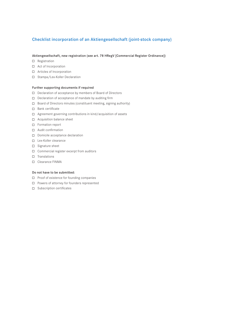# Checklist incorporation of an Aktiengesellschaft (joint-stock company)

# Aktiengesellschaft, new registration (see art. 78 HRegV [Commercial Register Ordinance])

- □ Registration
- □ Act of Incorporation
- □ Articles of Incorporation
- □ Stampa/Lex-Koller Declaration

# Further supporting documents if required

- D Declaration of acceptance by members of Board of Directors
- D Declaration of acceptance of mandate by auditing firm
- $\Box$  Board of Directors minutes (constituent meeting, signing authority)
- □ Bank certificate
- □ Agreement governing contributions in kind/acquisition of assets
- □ Acquisition balance sheet
- □ Formation report
- Audit confirmation
- D Domicile acceptance declaration
- Lex-Koller clearance
- □ Signature sheet
- $\Box$  Commercial register excerpt from auditors
- $\square$  Translations
- □ Clearance FINMA

# Do not have to be submitted:

- $\Box$  Proof of existence for founding companies
- $\Box$  Powers of attorney for founders represented
- $\square$  Subscription certificates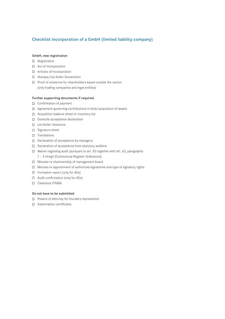# Checklist incorporation of a GmbH (limited liability company)

# GmbH, new registration

- □ Registration
- □ Act of Incorporation
- □ Articles of Incorporation
- □ Stampa/Lex-Koller Declaration
- $\Box$  Proof of existence for shareholders based outside the canton (only trading companies and legal entities)

### Further supporting documents if required

- $\Box$  Confirmation of payment
- Agreement governing contributions in kind/acquisition of assets
- □ Acquisition balance sheet or inventory list
- D Domicile acceptance declaration
- Lex-Koller clearance
- □ Signature sheet
- $\Box$  Translations
- $\Box$  Declaration of acceptance by managers
- D Declaration of acceptance from statutory auditors
- Waiver regarding audit (pursuant to art. 83 together with art. 62, paragraphs
	- 1 3 HregV [Commercial Register Ordinance])
- Minutes re chairmanship of management board
- $\Box$  Minutes re appointment of authorized signatories and type of signatory rights
- $\Box$  Formation report (only for AGs)
- □ Audit confirmation (only for AGs)
- □ Clearance FINMA

### Do not have to be submitted:

- $\Box$  Powers of attorney for founders represented
- □ Subscription certificates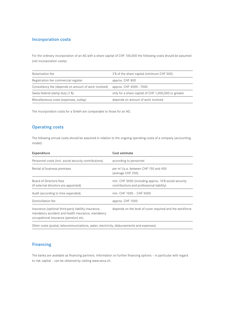# Incorporation costs

For the ordinary incorporation of an AG with a share capital of CHF 100,000 the following costs should be assumed (net incorporation costs):

| Notarization fee                                     | 2% of the share capital (minimum CHF 500)            |
|------------------------------------------------------|------------------------------------------------------|
| Registration fee commercial register                 | approx. CHF 800                                      |
| Consultancy fee (depends on amount of work involved) | approx. CHF 4000 - 7000                              |
| Swiss federal stamp duty (1 %)                       | only for a share capital of CHF 1,000,000 or greater |
| Miscellaneous costs (expenses, outlay)               | depends on amount of work involved                   |

The incorporation costs for a GmbH are comparable to those for an AG.

# Operating costs

The following annual costs should be assumed in relation to the ongoing operating costs of a company (accounting model):

| Expenditure                                                                                                                                         | Cost estimate                                                                                     |
|-----------------------------------------------------------------------------------------------------------------------------------------------------|---------------------------------------------------------------------------------------------------|
| Personnel costs (incl. social security contributions)                                                                                               | according to personnel                                                                            |
| Rental of business premises                                                                                                                         | per $m^2$ /p.a. between CHF 150 and 450<br>(average CHF 250)                                      |
| Board of Directors fees<br>(if external directors are appointed)                                                                                    | min. CHF 5000 (including approx. 10% social security<br>contributions and professional liability) |
| Audit (according to time expended)                                                                                                                  | min. CHF 1000 - CHF 5000                                                                          |
| Domiciliation fee                                                                                                                                   | approx. CHF 1000                                                                                  |
| Insurance (optional third-party liability insurance,<br>mandatory accident and health insurance, mandatory<br>occupational insurance (pension) etc. | depends on the level of cover required and the workforce                                          |
|                                                                                                                                                     |                                                                                                   |

Other costs (postal, telecommunications, water, electricity, disbursements and expenses)

# Financing

The banks are available as financing partners. Information on further financing options – in particular with regard to risk capital – can be obtained by visiting www.seca.ch.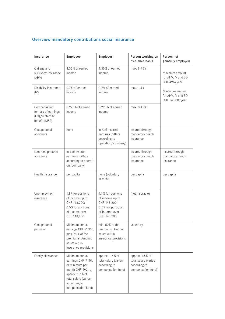# Overview mandatory contributions social insurance

| Insurance                                                               | Employee                                                                                                                                                      | Employer                                                                                                   | Person working on<br>freelance basis                                          | Person not<br>gainfully employed                         |
|-------------------------------------------------------------------------|---------------------------------------------------------------------------------------------------------------------------------------------------------------|------------------------------------------------------------------------------------------------------------|-------------------------------------------------------------------------------|----------------------------------------------------------|
| Old age and<br>survivors' insurance<br>(AHV)                            | 4.35% of earned<br>income                                                                                                                                     | 4.35% of earned<br>income                                                                                  | max. 9.95%                                                                    | Minimum amount<br>for AHV, IV and EO:<br>CHF 496/year    |
| Disability insurance<br>(IV)                                            | 0.7% of earned<br>income                                                                                                                                      | 0.7% of earned<br>income                                                                                   | max. 1.4%                                                                     | Maximum amount<br>for AHV, IV and EO:<br>CHF 24,800/year |
| Compensation<br>for loss of earnings<br>(EO)/maternity<br>benefit (MSE) | 0.225% of earned<br>income                                                                                                                                    | 0.225% of earned<br>income                                                                                 | max. 0.45%                                                                    |                                                          |
| Occupational<br>accidents                                               | none                                                                                                                                                          | in % of insured<br>earnings (differs<br>according to<br>operation/company)                                 | insured through<br>mandatory health<br>insurance                              |                                                          |
| Non-occupational<br>accidents                                           | in % of insured<br>earnings (differs<br>according to operati-<br>on/company)                                                                                  |                                                                                                            | insured through<br>mandatory health<br>insurance                              | insured through<br>mandatory health<br>insurance         |
| Health insurance                                                        | per capita                                                                                                                                                    | none (voluntary<br>at most)                                                                                | per capita                                                                    | per capita                                               |
| Unemployment<br>insurance                                               | 1.1 % for portions<br>of income up to<br>CHF 148,200;<br>0.5% for portions<br>of income over<br>CHF 148,200                                                   | 1.1% for portions<br>of income up to<br>CHF 148,200;<br>0.5% for portions<br>of income over<br>CHF 148,200 | (not insurable)                                                               |                                                          |
| Occupational<br>pension                                                 | Minimum annual<br>earnings CHF 21,330,<br>max. 50% of the<br>premiums. Amount<br>as set out in<br>insurance provisions                                        | min. 50% of the<br>premiums. Amount<br>as set out in<br>insurance provisions                               | voluntary                                                                     |                                                          |
| Family allowances                                                       | Minimum annual<br>earnings CHF 7,110,<br>or minimum per<br>month CHF 592 .-,<br>approx. 1.6% of<br>total salary (varies<br>according to<br>compensation fund) | approx. 1.6% of<br>total salary (varies<br>according to<br>compensation fund)                              | approx. 1.6% of<br>total salary (varies<br>according to<br>compensation fund) |                                                          |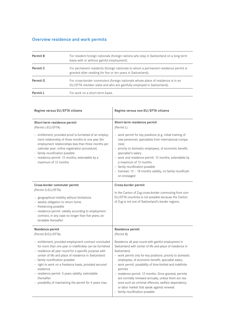# Overview residence and work permits

| Permit B | For resident foreign nationals (foreign nations who stay in Switzerland on a long-term<br>basis with or without gainful employment).                    |
|----------|---------------------------------------------------------------------------------------------------------------------------------------------------------|
| Permit C | For permanent residents (foreign nationals to whom a permanent residence permit is<br>granted after residing for five or ten years in Switzerland).     |
| Permit G | For cross-border commuters (foreign nationals whose place of residence is in an<br>EU/EFTA member state and who are gainfully employed in Switzerland). |
| Permit L | For work on a short-term basis.                                                                                                                         |

| Regime versus EU/EFTA citizens                                                                                                                                                                                                                                                                                                                                                                                                                                                                                       | Regime versus non-EU/EFTA citizens                                                                                                                                                                                                                                                                                                                                                                                                                                                                                                                                                                                    |
|----------------------------------------------------------------------------------------------------------------------------------------------------------------------------------------------------------------------------------------------------------------------------------------------------------------------------------------------------------------------------------------------------------------------------------------------------------------------------------------------------------------------|-----------------------------------------------------------------------------------------------------------------------------------------------------------------------------------------------------------------------------------------------------------------------------------------------------------------------------------------------------------------------------------------------------------------------------------------------------------------------------------------------------------------------------------------------------------------------------------------------------------------------|
| Short-term residence permit<br>(Permit L-EU/EFTA)                                                                                                                                                                                                                                                                                                                                                                                                                                                                    | Short-term residence permit<br>(Permit L)                                                                                                                                                                                                                                                                                                                                                                                                                                                                                                                                                                             |
| - entitlement, provided proof is furnished of an employ-<br>ment relationship of three months to one year (for<br>employment relationships less than three months per<br>calendar year: online registration procedure).<br>- family reunification possible<br>- residence permit: 12 months, extendable by a<br>maximum of 12 months                                                                                                                                                                                 | - work permit for key positions (e.g. initial training of<br>new personnel, specialists from international compa-<br>nies)<br>- priority to domestic employees, of economic benefit,<br>specialist's salary<br>- work and residence permit: 12 months, extendable by<br>a maximum of 12 months<br>- family reunification possible<br>- trainees: 12 - 18 months validity, no family reunificati-<br>on envisaged                                                                                                                                                                                                      |
| Cross-border commuter permit<br>(Permit G-EU/EFTA)<br>- geographical mobility without limitations<br>- weekly obligation to return home<br>- freelancing possible<br>- residence permit: validity according to employment<br>contract, in any case no longer than five years, ex-<br>tendable thereafter                                                                                                                                                                                                             | Cross-border permit<br>In the Canton of Zug cross-border commuting from non-<br>EU/EFTA countries is not possible because the Canton<br>of Zug is not one of Switzerland's border regions.                                                                                                                                                                                                                                                                                                                                                                                                                            |
| Residence permit<br>(Permit B-EU/EFTA)<br>- entitlement, provided employment contract concluded<br>for more than one year or indefinitely can be furnished<br>- residence all year round for a specific purpose with<br>center of life and place of residence in Switzerland<br>- family reunification possible<br>- right to work on a freelance basis, provided secured<br>existence<br>- residence permit: 5 years validity, extendable<br>thereafter<br>- possibility of maintaining the permit for 4 years max. | Residence permit<br>(Permit B)<br>Residence all year round with gainful employment in<br>Switzerland with center of life and place of residence in<br>Switzerland.<br>- work permit only for key positions: priority to domestic<br>employees, of economic benefit, specialist salary<br>- work permit: possibility of time-limited and indefinite<br>permits<br>- residence permit: 12 months. Once granted, permits<br>are normally renewed annually, unless there are rea-<br>sons such as criminal offences, welfare dependency<br>or labor market that speak against renewal.<br>- family reunification possible |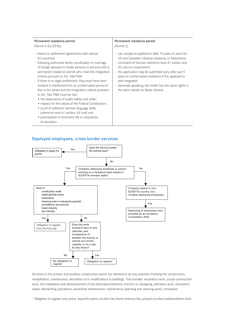| Permanent residence permit                                                                                                                                                                                                                                                                                                                                                                                                                                                                                                                                                                                                                                                                                                                                                 | Permanent residence permit                                                                                                                                                                                                                                                                                                                                                                                                             |
|----------------------------------------------------------------------------------------------------------------------------------------------------------------------------------------------------------------------------------------------------------------------------------------------------------------------------------------------------------------------------------------------------------------------------------------------------------------------------------------------------------------------------------------------------------------------------------------------------------------------------------------------------------------------------------------------------------------------------------------------------------------------------|----------------------------------------------------------------------------------------------------------------------------------------------------------------------------------------------------------------------------------------------------------------------------------------------------------------------------------------------------------------------------------------------------------------------------------------|
| (Permit C-EU/EFTA)                                                                                                                                                                                                                                                                                                                                                                                                                                                                                                                                                                                                                                                                                                                                                         | (Permit C)                                                                                                                                                                                                                                                                                                                                                                                                                             |
| - based on settlement agreements with various<br>EU countries<br>- following authorized family reunification or marriage<br>of foreign spouses to Swiss persons or persons with a<br>permanent residence permit who meet the integration<br>criteria pursuant to Art. 58a FNIA<br>- If there is no legal entitlement, they must have been<br>resident in Switzerland for an uninterrupted period of<br>five to ten yerars and the integration criteria pursuant<br>to Art. 58a FNIA must be met:<br>• the observance of public safety and order;<br>• respect for the values of the Federal Constitution;<br>• proof of sufficient German language skills<br>(reference level A1 written, A2 oral) and<br>• participation in economic life or acquisition<br>of education. | - can usually be applied for after 10 years (5 years for<br>US and Canadian citizens) residency in Switzerland<br>- command of German reference level A1 written and<br>A2 oral is a requirement<br>- the application may be submitted early after just 5<br>years of uninterrupted residence if the applicant is<br>well integrated<br>- Generally speaking, the holder has the same rights in<br>the labor market as Swiss citizens. |

# Deployed employees, cross border services **Deployed employees, cross border services**



Services in the primary and auxiliary construction sector are deemed to be any activities involving the construction, rehabilitation, maintenance, demolition of or modifications to buildings. This includes: excavation work, actual construction work, the installation and dismantlement of pre-fabricated elements, erection or equipping, alteration work, renovation, repair, dismantling operations, preventive maintenance, maintenance (painting and cleaning work), renovation.

<sup>1</sup> Obligation to register only online: www.bfm.admin.ch/bfm/de/home/themen/fza\_schweiz-eu-efta/meldeverfahren.html.